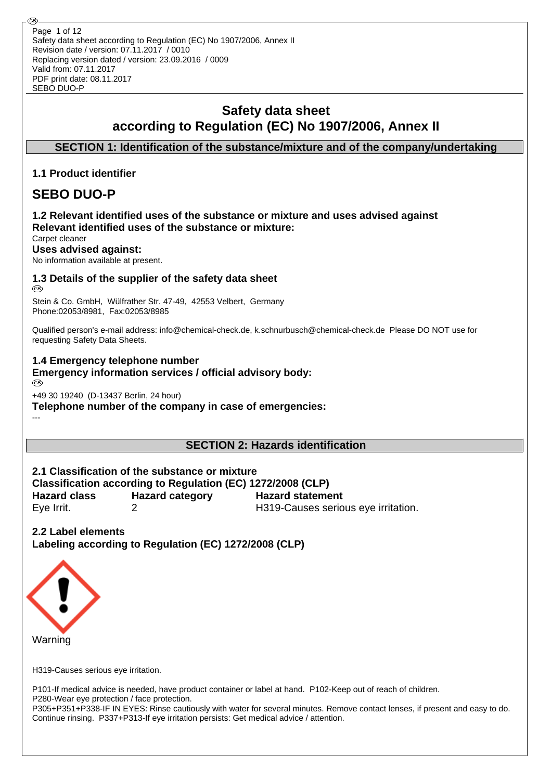Safety data sheet according to Regulation (EC) No 1907/2006, Annex II Revision date / version: 07.11.2017 / 0010 Replacing version dated / version: 23.09.2016 / 0009 Valid from: 07.11.2017 PDF print date: 08.11.2017 SEBO DUO-P Page 1 of 12

## **Safety data sheet according to Regulation (EC) No 1907/2006, Annex II**

**SECTION 1: Identification of the substance/mixture and of the company/undertaking**

## **1.1 Product identifier**

## **SEBO DUO-P**

## **1.2 Relevant identified uses of the substance or mixture and uses advised against Relevant identified uses of the substance or mixture:**

Carpet cleaner

**Uses advised against:**

No information available at present.

# **1.3 Details of the supplier of the safety data sheet**

Stein & Co. GmbH, Wülfrather Str. 47-49, 42553 Velbert, Germany Phone:02053/8981, Fax:02053/8985

Qualified person's e-mail address: info@chemical-check.de, k.schnurbusch@chemical-check.de Please DO NOT use for requesting Safety Data Sheets.

#### **1.4 Emergency telephone number**

**Emergency information services / official advisory body:**

---

+49 30 19240 (D-13437 Berlin, 24 hour)

**Telephone number of the company in case of emergencies:**

## **SECTION 2: Hazards identification**

**2.1 Classification of the substance or mixture Classification according to Regulation (EC) 1272/2008 (CLP) Hazard class Hazard category Hazard statement** Eye Irrit. 2 H319-Causes serious eye irritation.

**2.2 Label elements Labeling according to Regulation (EC) 1272/2008 (CLP)**



H319-Causes serious eye irritation.

P101-If medical advice is needed, have product container or label at hand. P102-Keep out of reach of children. P280-Wear eye protection / face protection.

P305+P351+P338-IF IN EYES: Rinse cautiously with water for several minutes. Remove contact lenses, if present and easy to do. Continue rinsing. P337+P313-If eye irritation persists: Get medical advice / attention.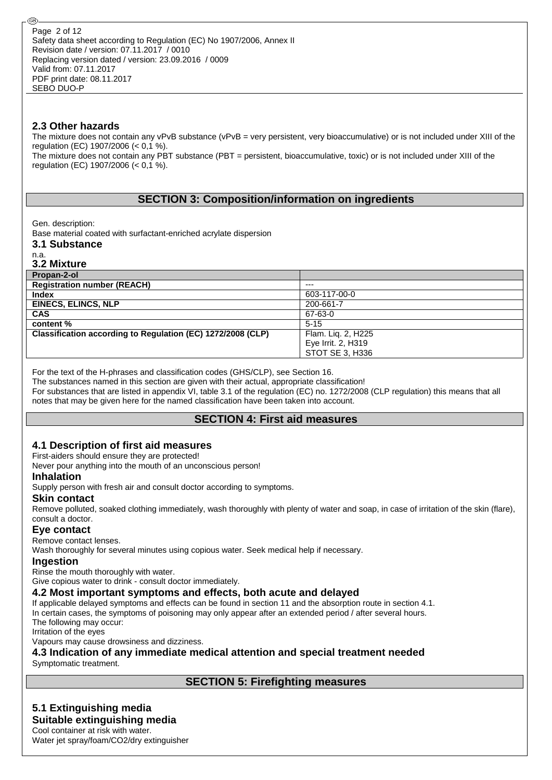#### **2.3 Other hazards**

The mixture does not contain any vPvB substance (vPvB = very persistent, very bioaccumulative) or is not included under XIII of the regulation (EC) 1907/2006 (< 0,1 %).

The mixture does not contain any PBT substance (PBT = persistent, bioaccumulative, toxic) or is not included under XIII of the regulation (EC) 1907/2006 (< 0,1 %).

## **SECTION 3: Composition/information on ingredients**

Gen. description:

Base material coated with surfactant-enriched acrylate dispersion

**3.1 Substance**

n.a. **3.2 Mixture**

| --- ---------                                               |                    |
|-------------------------------------------------------------|--------------------|
| Propan-2-ol                                                 |                    |
| <b>Registration number (REACH)</b>                          | $---$              |
| <b>Index</b>                                                | 603-117-00-0       |
| <b>EINECS, ELINCS, NLP</b>                                  | 200-661-7          |
| <b>CAS</b>                                                  | 67-63-0            |
| content %                                                   | $5 - 15$           |
| Classification according to Regulation (EC) 1272/2008 (CLP) | Flam. Lig. 2, H225 |
|                                                             | Eye Irrit. 2, H319 |
|                                                             | STOT SE 3. H336    |

For the text of the H-phrases and classification codes (GHS/CLP), see Section 16.

The substances named in this section are given with their actual, appropriate classification! For substances that are listed in appendix VI, table 3.1 of the regulation (EC) no. 1272/2008 (CLP regulation) this means that all notes that may be given here for the named classification have been taken into account.

## **SECTION 4: First aid measures**

#### **4.1 Description of first aid measures**

First-aiders should ensure they are protected!

Never pour anything into the mouth of an unconscious person!

#### **Inhalation**

Supply person with fresh air and consult doctor according to symptoms.

#### **Skin contact**

Remove polluted, soaked clothing immediately, wash thoroughly with plenty of water and soap, in case of irritation of the skin (flare), consult a doctor.

#### **Eye contact**

Remove contact lenses.

Wash thoroughly for several minutes using copious water. Seek medical help if necessary.

#### **Ingestion**

Rinse the mouth thoroughly with water.

Give copious water to drink - consult doctor immediately.

## **4.2 Most important symptoms and effects, both acute and delayed**

If applicable delayed symptoms and effects can be found in section 11 and the absorption route in section 4.1. In certain cases, the symptoms of poisoning may only appear after an extended period / after several hours. The following may occur:

Irritation of the eyes

Vapours may cause drowsiness and dizziness.

**4.3 Indication of any immediate medical attention and special treatment needed** Symptomatic treatment.

#### **SECTION 5: Firefighting measures**

## **5.1 Extinguishing media**

**Suitable extinguishing media**

Cool container at risk with water. Water jet spray/foam/CO2/dry extinguisher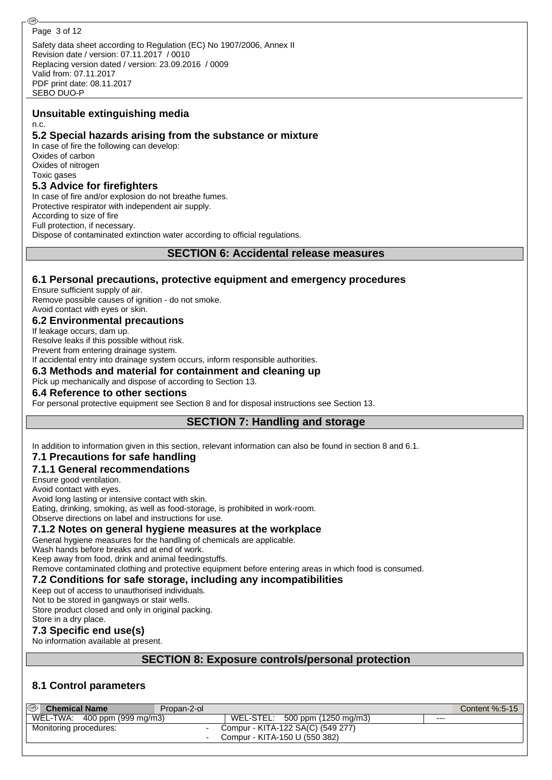@

Safety data sheet according to Regulation (EC) No 1907/2006, Annex II Revision date / version: 07.11.2017 / 0010 Replacing version dated / version: 23.09.2016 / 0009 Valid from: 07.11.2017 PDF print date: 08.11.2017 SEBO DUO-P

#### **Unsuitable extinguishing media** n.c.

## **5.2 Special hazards arising from the substance or mixture**

In case of fire the following can develop: Oxides of carbon Oxides of nitrogen Toxic gases

## **5.3 Advice for firefighters**

In case of fire and/or explosion do not breathe fumes. Protective respirator with independent air supply. According to size of fire Full protection, if necessary. Dispose of contaminated extinction water according to official regulations.

**SECTION 6: Accidental release measures**

## **6.1 Personal precautions, protective equipment and emergency procedures**

Ensure sufficient supply of air. Remove possible causes of ignition - do not smoke. Avoid contact with eyes or skin.

## **6.2 Environmental precautions**

If leakage occurs, dam up. Resolve leaks if this possible without risk.

Prevent from entering drainage system.

If accidental entry into drainage system occurs, inform responsible authorities.

#### **6.3 Methods and material for containment and cleaning up**

Pick up mechanically and dispose of according to Section 13.

#### **6.4 Reference to other sections**

For personal protective equipment see Section 8 and for disposal instructions see Section 13.

## **SECTION 7: Handling and storage**

In addition to information given in this section, relevant information can also be found in section 8 and 6.1.

## **7.1 Precautions for safe handling**

## **7.1.1 General recommendations**

Ensure good ventilation.

Avoid contact with eyes.

Avoid long lasting or intensive contact with skin.

Eating, drinking, smoking, as well as food-storage, is prohibited in work-room.

## Observe directions on label and instructions for use.

#### **7.1.2 Notes on general hygiene measures at the workplace**

General hygiene measures for the handling of chemicals are applicable.

Wash hands before breaks and at end of work.

Keep away from food, drink and animal feedingstuffs.

Remove contaminated clothing and protective equipment before entering areas in which food is consumed.

## **7.2 Conditions for safe storage, including any incompatibilities**

Keep out of access to unauthorised individuals.

Not to be stored in gangways or stair wells.

Store product closed and only in original packing.

## Store in a dry place.

**7.3 Specific end use(s)**

No information available at present.

## **SECTION 8: Exposure controls/personal protection**

## **8.1 Control parameters**

| <sup>®</sup> Chemical Name   | Propan-2-ol |                               |                                   |     | Content %:5-15 |
|------------------------------|-------------|-------------------------------|-----------------------------------|-----|----------------|
| WEL-TWA: 400 ppm (999 mg/m3) |             |                               | WEL-STEL: 500 ppm (1250 mg/m3)    | --- |                |
| Monitoring procedures:       |             |                               | Compur - KITA-122 SA(C) (549 277) |     |                |
|                              |             | Compur - KITA-150 U (550 382) |                                   |     |                |
|                              |             |                               |                                   |     |                |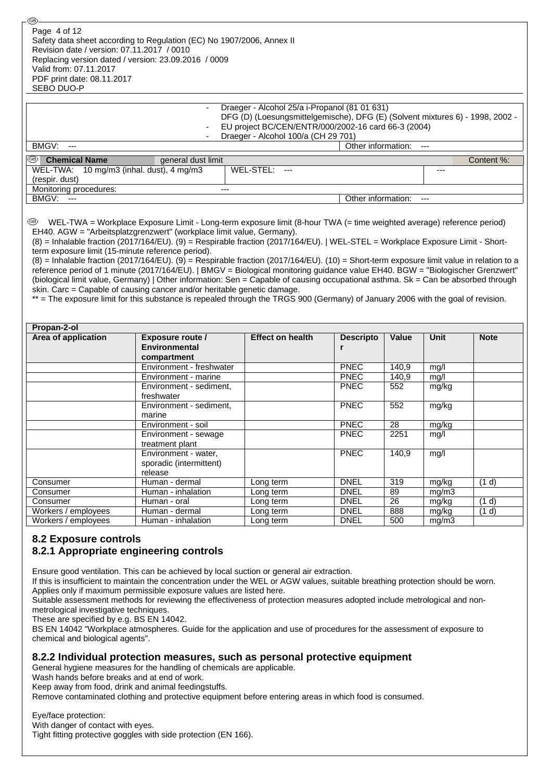Safety data sheet according to Regulation (EC) No 1907/2006, Annex II Revision date / version: 07.11.2017 / 0010 Replacing version dated / version: 23.09.2016 / 0009 Valid from: 07.11.2017 PDF print date: 08.11.2017 SEBO DUO-P Page 4 of 12

-

- Draeger - Alcohol 25/a i-Propanol (81 01 631)

DFG (D) (Loesungsmittelgemische), DFG (E) (Solvent mixtures 6) - 1998, 2002 - EU project BC/CEN/ENTR/000/2002-16 card 66-3 (2004)

Draeger - Alcohol 100/a (CH 29 701)

BMGV: --- **Other information:** ---

| ⊛<br><b>Chemical Name</b>                | general dust limit |           |     |                        |      | Content %: |
|------------------------------------------|--------------------|-----------|-----|------------------------|------|------------|
| WEL-TWA: 10 mg/m3 (inhal. dust), 4 mg/m3 |                    | WEL-STEL: | $-$ |                        | $--$ |            |
| (respir. dust)                           |                    |           |     |                        |      |            |
| Monitoring procedures:                   | $---$              |           |     |                        |      |            |
| BMGV:<br>$---$                           |                    |           |     | Other information: --- |      |            |

 WEL-TWA = Workplace Exposure Limit - Long-term exposure limit (8-hour TWA (= time weighted average) reference period) EH40. AGW = "Arbeitsplatzgrenzwert" (workplace limit value, Germany).

(8) = Inhalable fraction (2017/164/EU). (9) = Respirable fraction (2017/164/EU). | WEL-STEL = Workplace Exposure Limit - Shortterm exposure limit (15-minute reference period).

(8) = Inhalable fraction (2017/164/EU). (9) = Respirable fraction (2017/164/EU). (10) = Short-term exposure limit value in relation to a reference period of 1 minute (2017/164/EU). | BMGV = Biological monitoring guidance value EH40. BGW = "Biologischer Grenzwert" (biological limit value, Germany) | Other information: Sen = Capable of causing occupational asthma. Sk = Can be absorbed through skin. Carc = Capable of causing cancer and/or heritable genetic damage.

\*\* = The exposure limit for this substance is repealed through the TRGS 900 (Germany) of January 2006 with the goal of revision.

| Propan-2-ol         |                          |                         |                  |              |       |             |
|---------------------|--------------------------|-------------------------|------------------|--------------|-------|-------------|
| Area of application | <b>Exposure route /</b>  | <b>Effect on health</b> | <b>Descripto</b> | <b>Value</b> | Unit  | <b>Note</b> |
|                     | Environmental            |                         |                  |              |       |             |
|                     | compartment              |                         |                  |              |       |             |
|                     | Environment - freshwater |                         | <b>PNEC</b>      | 140,9        | mg/l  |             |
|                     | Environment - marine     |                         | <b>PNEC</b>      | 140,9        | mg/l  |             |
|                     | Environment - sediment,  |                         | <b>PNEC</b>      | 552          | mg/kg |             |
|                     | freshwater               |                         |                  |              |       |             |
|                     | Environment - sediment,  |                         | <b>PNEC</b>      | 552          | mg/kg |             |
|                     | marine                   |                         |                  |              |       |             |
|                     | Environment - soil       |                         | <b>PNEC</b>      | 28           | mg/kg |             |
|                     | Environment - sewage     |                         | <b>PNEC</b>      | 2251         | mq/l  |             |
|                     | treatment plant          |                         |                  |              |       |             |
|                     | Environment - water,     |                         | <b>PNEC</b>      | 140,9        | mg/l  |             |
|                     | sporadic (intermittent)  |                         |                  |              |       |             |
|                     | release                  |                         |                  |              |       |             |
| Consumer            | Human - dermal           | Long term               | <b>DNEL</b>      | 319          | mg/kg | (1 d)       |
| Consumer            | Human - inhalation       | Long term               | <b>DNEL</b>      | 89           | mg/m3 |             |
| Consumer            | Human - oral             | Long term               | <b>DNEL</b>      | 26           | mg/kg | (1 d)       |
| Workers / employees | Human - dermal           | Long term               | <b>DNEL</b>      | 888          | mg/kg | (1 d)       |
| Workers / employees | Human - inhalation       | Long term               | <b>DNEL</b>      | 500          | mg/m3 |             |

## **8.2 Exposure controls**

## **8.2.1 Appropriate engineering controls**

Ensure good ventilation. This can be achieved by local suction or general air extraction.

If this is insufficient to maintain the concentration under the WEL or AGW values, suitable breathing protection should be worn. Applies only if maximum permissible exposure values are listed here.

Suitable assessment methods for reviewing the effectiveness of protection measures adopted include metrological and nonmetrological investigative techniques.

These are specified by e.g. BS EN 14042.

BS EN 14042 "Workplace atmospheres. Guide for the application and use of procedures for the assessment of exposure to chemical and biological agents".

#### **8.2.2 Individual protection measures, such as personal protective equipment**

General hygiene measures for the handling of chemicals are applicable.

Wash hands before breaks and at end of work.

Keep away from food, drink and animal feedingstuffs.

Remove contaminated clothing and protective equipment before entering areas in which food is consumed.

Eye/face protection: With danger of contact with eyes. Tight fitting protective goggles with side protection (EN 166).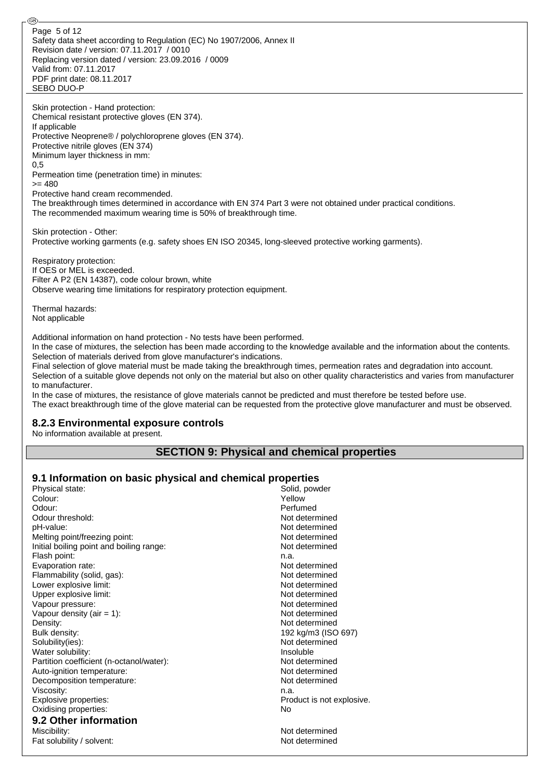Safety data sheet according to Regulation (EC) No 1907/2006, Annex II Revision date / version: 07.11.2017 / 0010 Replacing version dated / version: 23.09.2016 / 0009 Valid from: 07.11.2017 PDF print date: 08.11.2017 SEBO DUO-P Page 5 of 12

Skin protection - Hand protection: Chemical resistant protective gloves (EN 374). If applicable Protective Neoprene® / polychloroprene gloves (EN 374). Protective nitrile gloves (EN 374) Minimum layer thickness in mm: 0,5 Permeation time (penetration time) in minutes:  $= 480$ 

Protective hand cream recommended.

The breakthrough times determined in accordance with EN 374 Part 3 were not obtained under practical conditions. The recommended maximum wearing time is 50% of breakthrough time.

Skin protection - Other: Protective working garments (e.g. safety shoes EN ISO 20345, long-sleeved protective working garments).

Respiratory protection: If OES or MEL is exceeded. Filter A P2 (EN 14387), code colour brown, white Observe wearing time limitations for respiratory protection equipment.

Thermal hazards: Not applicable

@

Additional information on hand protection - No tests have been performed.

In the case of mixtures, the selection has been made according to the knowledge available and the information about the contents. Selection of materials derived from glove manufacturer's indications.

Final selection of glove material must be made taking the breakthrough times, permeation rates and degradation into account. Selection of a suitable glove depends not only on the material but also on other quality characteristics and varies from manufacturer to manufacturer.

In the case of mixtures, the resistance of glove materials cannot be predicted and must therefore be tested before use. The exact breakthrough time of the glove material can be requested from the protective glove manufacturer and must be observed.

#### **8.2.3 Environmental exposure controls**

No information available at present.

## **SECTION 9: Physical and chemical properties**

## **9.1 Information on basic physical and chemical properties**

| Physical state:                          | Solid, powder             |
|------------------------------------------|---------------------------|
| Colour:                                  | Yellow                    |
| Odour:                                   | Perfumed                  |
| Odour threshold:                         | Not determined            |
| pH-value:                                | Not determined            |
| Melting point/freezing point:            | Not determined            |
| Initial boiling point and boiling range: | Not determined            |
| Flash point:                             | n.a.                      |
| Evaporation rate:                        | Not determined            |
| Flammability (solid, gas):               | Not determined            |
| Lower explosive limit:                   | Not determined            |
| Upper explosive limit:                   | Not determined            |
| Vapour pressure:                         | Not determined            |
| Vapour density (air = $1$ ):             | Not determined            |
| Density:                                 | Not determined            |
| Bulk density:                            | 192 kg/m3 (ISO 697)       |
| Solubility(ies):                         | Not determined            |
| Water solubility:                        | Insoluble                 |
| Partition coefficient (n-octanol/water): | Not determined            |
| Auto-ignition temperature:               | Not determined            |
| Decomposition temperature:               | Not determined            |
| Viscosity:                               | n.a.                      |
| Explosive properties:                    | Product is not explosive. |
| Oxidising properties:                    | No                        |
| 9.2 Other information                    |                           |
| Miscibility:                             | Not determined            |
| Fat solubility / solvent:                | Not determined            |
|                                          |                           |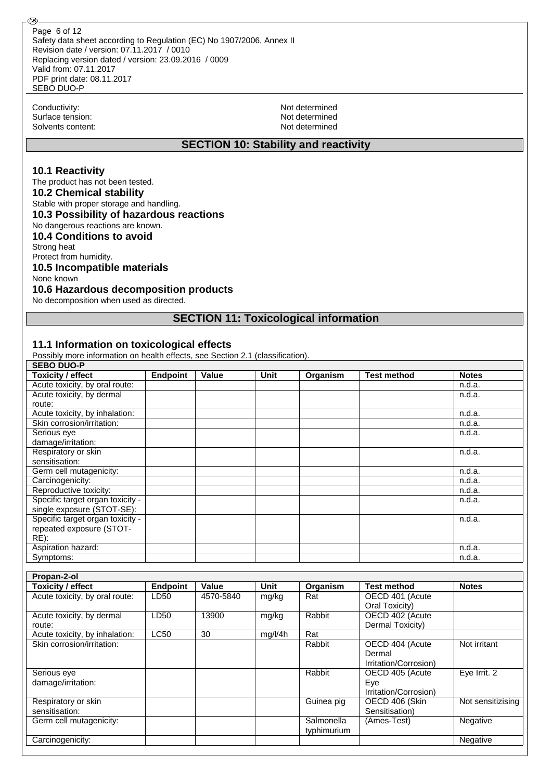Safety data sheet according to Regulation (EC) No 1907/2006, Annex II Revision date / version: 07.11.2017 / 0010 Replacing version dated / version: 23.09.2016 / 0009 Valid from: 07.11.2017 PDF print date: 08.11.2017 SEBO DUO-P Page 6 of 12

Conductivity: Not determined<br>
Surface tension: Not determined<br>
Not determined Surface tension: Solvents content: Not determined

@ි

#### **SECTION 10: Stability and reactivity**

#### **10.1 Reactivity**

The product has not been tested. **10.2 Chemical stability** Stable with proper storage and handling. **10.3 Possibility of hazardous reactions** No dangerous reactions are known. **10.4 Conditions to avoid** Strong heat

#### Protect from humidity.

## **10.5 Incompatible materials**

None known

#### **10.6 Hazardous decomposition products**

No decomposition when used as directed.

#### **SECTION 11: Toxicological information**

#### **11.1 Information on toxicological effects**

Possibly more information on health effects, see Section 2.1 (classification).

| <b>SEBO DUO-P</b>                |                 |       |      |          |                    |              |
|----------------------------------|-----------------|-------|------|----------|--------------------|--------------|
| <b>Toxicity / effect</b>         | <b>Endpoint</b> | Value | Unit | Organism | <b>Test method</b> | <b>Notes</b> |
| Acute toxicity, by oral route:   |                 |       |      |          |                    | n.d.a.       |
| Acute toxicity, by dermal        |                 |       |      |          |                    | n.d.a.       |
| route:                           |                 |       |      |          |                    |              |
| Acute toxicity, by inhalation:   |                 |       |      |          |                    | n.d.a.       |
| Skin corrosion/irritation:       |                 |       |      |          |                    | n.d.a.       |
| Serious eye                      |                 |       |      |          |                    | n.d.a.       |
| damage/irritation:               |                 |       |      |          |                    |              |
| Respiratory or skin              |                 |       |      |          |                    | n.d.a.       |
| sensitisation:                   |                 |       |      |          |                    |              |
| Germ cell mutagenicity:          |                 |       |      |          |                    | n.d.a.       |
| Carcinogenicity:                 |                 |       |      |          |                    | n.d.a.       |
| Reproductive toxicity:           |                 |       |      |          |                    | n.d.a.       |
| Specific target organ toxicity - |                 |       |      |          |                    | n.d.a.       |
| single exposure (STOT-SE):       |                 |       |      |          |                    |              |
| Specific target organ toxicity - |                 |       |      |          |                    | n.d.a.       |
| repeated exposure (STOT-         |                 |       |      |          |                    |              |
| $RE)$ :                          |                 |       |      |          |                    |              |
| Aspiration hazard:               |                 |       |      |          |                    | n.d.a.       |
| Symptoms:                        |                 |       |      |          |                    | n.d.a.       |

| Propan-2-ol                    |                 |           |         |             |                       |                   |
|--------------------------------|-----------------|-----------|---------|-------------|-----------------------|-------------------|
| <b>Toxicity / effect</b>       | <b>Endpoint</b> | Value     | Unit    | Organism    | <b>Test method</b>    | <b>Notes</b>      |
| Acute toxicity, by oral route: | LD50            | 4570-5840 | mg/kg   | Rat         | OECD 401 (Acute       |                   |
|                                |                 |           |         |             | Oral Toxicity)        |                   |
| Acute toxicity, by dermal      | LD50            | 13900     | mg/kg   | Rabbit      | OECD 402 (Acute       |                   |
| route:                         |                 |           |         |             | Dermal Toxicity)      |                   |
| Acute toxicity, by inhalation: | <b>LC50</b>     | 30        | mg/l/4h | Rat         |                       |                   |
| Skin corrosion/irritation:     |                 |           |         | Rabbit      | OECD 404 (Acute       | Not irritant      |
|                                |                 |           |         |             | Dermal                |                   |
|                                |                 |           |         |             | Irritation/Corrosion) |                   |
| Serious eye                    |                 |           |         | Rabbit      | OECD 405 (Acute       | Eve Irrit. 2      |
| damage/irritation:             |                 |           |         |             | Eye                   |                   |
|                                |                 |           |         |             | Irritation/Corrosion) |                   |
| Respiratory or skin            |                 |           |         | Guinea pig  | OECD 406 (Skin        | Not sensitizising |
| sensitisation:                 |                 |           |         |             | Sensitisation)        |                   |
| Germ cell mutagenicity:        |                 |           |         | Salmonella  | (Ames-Test)           | Negative          |
|                                |                 |           |         | typhimurium |                       |                   |
| Carcinogenicity:               |                 |           |         |             |                       | Negative          |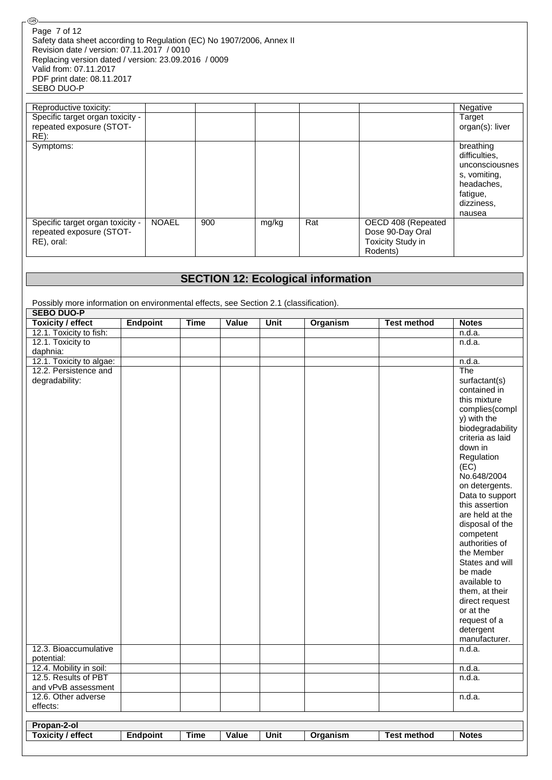| @ි                                                                                                                                                                                                                                                                |              |     |       |     |                          |                 |
|-------------------------------------------------------------------------------------------------------------------------------------------------------------------------------------------------------------------------------------------------------------------|--------------|-----|-------|-----|--------------------------|-----------------|
| Page 7 of 12<br>Safety data sheet according to Regulation (EC) No 1907/2006, Annex II<br>Revision date / version: 07.11.2017 / 0010<br>Replacing version dated / version: 23.09.2016 / 0009<br>Valid from: 07.11.2017<br>PDF print date: 08.11.2017<br>SEBO DUO-P |              |     |       |     |                          |                 |
|                                                                                                                                                                                                                                                                   |              |     |       |     |                          |                 |
| Reproductive toxicity:                                                                                                                                                                                                                                            |              |     |       |     |                          | Negative        |
| Specific target organ toxicity -                                                                                                                                                                                                                                  |              |     |       |     |                          | Target          |
| repeated exposure (STOT-                                                                                                                                                                                                                                          |              |     |       |     |                          | organ(s): liver |
| $RE)$ :                                                                                                                                                                                                                                                           |              |     |       |     |                          |                 |
| Symptoms:                                                                                                                                                                                                                                                         |              |     |       |     |                          | breathing       |
|                                                                                                                                                                                                                                                                   |              |     |       |     |                          | difficulties.   |
|                                                                                                                                                                                                                                                                   |              |     |       |     |                          | unconsciousnes  |
|                                                                                                                                                                                                                                                                   |              |     |       |     |                          | s, vomiting,    |
|                                                                                                                                                                                                                                                                   |              |     |       |     |                          | headaches,      |
|                                                                                                                                                                                                                                                                   |              |     |       |     |                          | fatigue,        |
|                                                                                                                                                                                                                                                                   |              |     |       |     |                          |                 |
|                                                                                                                                                                                                                                                                   |              |     |       |     |                          | dizziness,      |
|                                                                                                                                                                                                                                                                   |              |     |       |     |                          | nausea          |
| Specific target organ toxicity -                                                                                                                                                                                                                                  | <b>NOAEL</b> | 900 | mg/kg | Rat | OECD 408 (Repeated       |                 |
| repeated exposure (STOT-                                                                                                                                                                                                                                          |              |     |       |     | Dose 90-Day Oral         |                 |
| RE), oral:                                                                                                                                                                                                                                                        |              |     |       |     | <b>Toxicity Study in</b> |                 |
|                                                                                                                                                                                                                                                                   |              |     |       |     | Rodents)                 |                 |

#### **SECTION 12: Ecological information** Possibly more information on environmental effects, see Section 2.1 (classification). **SEBO DUO-P Toxicity / effect Endpoint Time Value Unit Organism Test method Notes** 12.1. Toxicity to fish: n.d.a. 12.1. Toxicity to daphnia: n.d.a. 12.1. Toxicity to algae: n.d.a. 12.2. Persistence and degradability: The surfactant(s) contained in this mixture complies(compl y) with the biodegradability criteria as laid down in Regulation (EC) No.648/2004 on detergents. Data to support this assertion are held at the disposal of the competent authorities of the Member States and will be made available to them, at their direct request or at the request of a detergent manufacturer. 12.3. Bioaccumulative potential:  $n.d.a.$ 12.4. Mobility in soil: n.d.a. the contract of the contract of the contract of the contract of the contract of the contract of the contract of the contract of the contract of the contract of the contract of the contract of 12.5. Results of PBT and vPvB assessment n.d.a. 12.6. Other adverse effects:  $n.d.a.$ **Propan-2-ol Toxicity / effect Endpoint Time Value Unit Organism Test method Notes**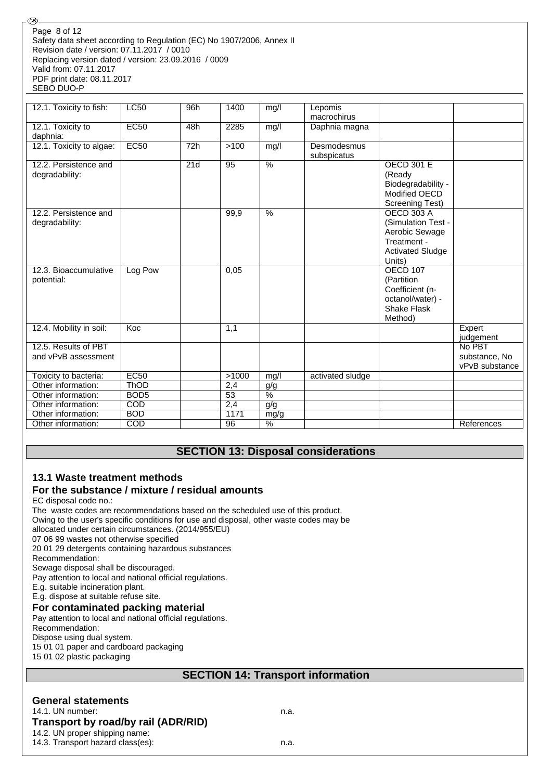#### Safety data sheet according to Regulation (EC) No 1907/2006, Annex II Revision date / version: 07.11.2017 / 0010 Replacing version dated / version: 23.09.2016 / 0009 Valid from: 07.11.2017 PDF print date: 08.11.2017 SEBO DUO-P Page 8 of 12

| 12.1. Toxicity to fish:  | <b>LC50</b>      | 96h | 1400  | mg/l            | Lepomis          |                         |                |
|--------------------------|------------------|-----|-------|-----------------|------------------|-------------------------|----------------|
|                          |                  |     |       |                 | macrochirus      |                         |                |
| 12.1. Toxicity to        | EC50             | 48h | 2285  | mg/l            | Daphnia magna    |                         |                |
| daphnia:                 |                  |     |       |                 |                  |                         |                |
| 12.1. Toxicity to algae: | <b>EC50</b>      | 72h | >100  | mg/l            | Desmodesmus      |                         |                |
|                          |                  |     |       |                 | subspicatus      |                         |                |
| 12.2. Persistence and    |                  | 21d | 95    | $\overline{\%}$ |                  | <b>OECD 301 E</b>       |                |
| degradability:           |                  |     |       |                 |                  | (Ready                  |                |
|                          |                  |     |       |                 |                  | Biodegradability -      |                |
|                          |                  |     |       |                 |                  | Modified OECD           |                |
|                          |                  |     |       |                 |                  | <b>Screening Test)</b>  |                |
| 12.2. Persistence and    |                  |     | 99,9  | $\frac{0}{0}$   |                  | <b>OECD 303 A</b>       |                |
| degradability:           |                  |     |       |                 |                  | (Simulation Test -      |                |
|                          |                  |     |       |                 |                  | Aerobic Sewage          |                |
|                          |                  |     |       |                 |                  | Treatment -             |                |
|                          |                  |     |       |                 |                  | <b>Activated Sludge</b> |                |
|                          |                  |     |       |                 |                  | Units)                  |                |
| 12.3. Bioaccumulative    | Log Pow          |     | 0,05  |                 |                  | <b>OECD 107</b>         |                |
| potential:               |                  |     |       |                 |                  | (Partition              |                |
|                          |                  |     |       |                 |                  | Coefficient (n-         |                |
|                          |                  |     |       |                 |                  | octanol/water) -        |                |
|                          |                  |     |       |                 |                  | Shake Flask             |                |
|                          |                  |     |       |                 |                  | Method)                 |                |
| 12.4. Mobility in soil:  | Koc              |     | 1,1   |                 |                  |                         | Expert         |
|                          |                  |     |       |                 |                  |                         | judgement      |
| 12.5. Results of PBT     |                  |     |       |                 |                  |                         | No PBT         |
| and vPvB assessment      |                  |     |       |                 |                  |                         | substance, No  |
|                          |                  |     |       |                 |                  |                         | vPvB substance |
| Toxicity to bacteria:    | <b>EC50</b>      |     | >1000 | mg/l            | activated sludge |                         |                |
| Other information:       | <b>ThOD</b>      |     | 2,4   | g/g             |                  |                         |                |
| Other information:       | BOD <sub>5</sub> |     | 53    | $\%$            |                  |                         |                |
| Other information:       | COD              |     | 2,4   | g/g             |                  |                         |                |
| Other information:       | <b>BOD</b>       |     | 1171  | mg/g            |                  |                         |                |
| Other information:       | COD              |     | 96    | $\%$            |                  |                         | References     |

## **SECTION 13: Disposal considerations**

## **13.1 Waste treatment methods**

## **For the substance / mixture / residual amounts**

EC disposal code no.:

@

The waste codes are recommendations based on the scheduled use of this product.

Owing to the user's specific conditions for use and disposal, other waste codes may be

allocated under certain circumstances. (2014/955/EU)

07 06 99 wastes not otherwise specified

20 01 29 detergents containing hazardous substances

Recommendation:

Sewage disposal shall be discouraged.

Pay attention to local and national official regulations.

E.g. suitable incineration plant.

E.g. dispose at suitable refuse site.

#### **For contaminated packing material**

Pay attention to local and national official regulations.

Recommendation:

Dispose using dual system.

15 01 01 paper and cardboard packaging

15 01 02 plastic packaging

## **SECTION 14: Transport information**

## **General statements**

14.1. UN number: n.a. **Transport by road/by rail (ADR/RID)**

14.2. UN proper shipping name:

14.3. Transport hazard class(es): n.a.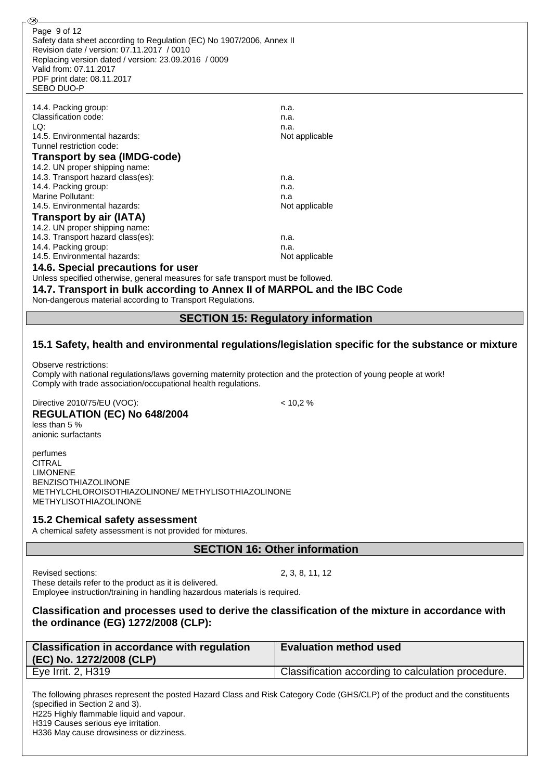| GB)                                                                                                                                                                                                                                                               |                                                                                                     |
|-------------------------------------------------------------------------------------------------------------------------------------------------------------------------------------------------------------------------------------------------------------------|-----------------------------------------------------------------------------------------------------|
| Page 9 of 12<br>Safety data sheet according to Regulation (EC) No 1907/2006, Annex II<br>Revision date / version: 07.11.2017 / 0010<br>Replacing version dated / version: 23.09.2016 / 0009<br>Valid from: 07.11.2017<br>PDF print date: 08.11.2017<br>SEBO DUO-P |                                                                                                     |
|                                                                                                                                                                                                                                                                   |                                                                                                     |
| 14.4. Packing group:<br>Classification code:                                                                                                                                                                                                                      | n.a.                                                                                                |
| LQ:                                                                                                                                                                                                                                                               | n.a.                                                                                                |
|                                                                                                                                                                                                                                                                   | n.a.                                                                                                |
| 14.5. Environmental hazards:<br>Tunnel restriction code:                                                                                                                                                                                                          | Not applicable                                                                                      |
|                                                                                                                                                                                                                                                                   |                                                                                                     |
| <b>Transport by sea (IMDG-code)</b>                                                                                                                                                                                                                               |                                                                                                     |
| 14.2. UN proper shipping name:                                                                                                                                                                                                                                    |                                                                                                     |
| 14.3. Transport hazard class(es):                                                                                                                                                                                                                                 | n.a.                                                                                                |
| 14.4. Packing group:                                                                                                                                                                                                                                              | n.a.                                                                                                |
| <b>Marine Pollutant:</b>                                                                                                                                                                                                                                          | n.a                                                                                                 |
| 14.5. Environmental hazards:                                                                                                                                                                                                                                      | Not applicable                                                                                      |
| <b>Transport by air (IATA)</b>                                                                                                                                                                                                                                    |                                                                                                     |
| 14.2. UN proper shipping name:                                                                                                                                                                                                                                    |                                                                                                     |
| 14.3. Transport hazard class(es):                                                                                                                                                                                                                                 | n.a.                                                                                                |
| 14.4. Packing group:                                                                                                                                                                                                                                              | n.a.                                                                                                |
| 14.5. Environmental hazards:                                                                                                                                                                                                                                      | Not applicable                                                                                      |
| 14.6. Special precautions for user                                                                                                                                                                                                                                |                                                                                                     |
| Unless specified otherwise, general measures for safe transport must be followed.                                                                                                                                                                                 |                                                                                                     |
| 14.7. Transport in bulk according to Annex II of MARPOL and the IBC Code                                                                                                                                                                                          |                                                                                                     |
| Non-dangerous material according to Transport Regulations.                                                                                                                                                                                                        |                                                                                                     |
|                                                                                                                                                                                                                                                                   | <b>SECTION 15: Regulatory information</b>                                                           |
|                                                                                                                                                                                                                                                                   |                                                                                                     |
|                                                                                                                                                                                                                                                                   | 15.1 Safety, health and environmental regulations/legislation specific for the substance or mixture |
| Observe restrictions:<br>Comply with national regulations/laws governing maternity protection and the protection of young people at work!<br>Comply with trade association/occupational health regulations.                                                       |                                                                                                     |
|                                                                                                                                                                                                                                                                   |                                                                                                     |

Directive 2010/75/EU (VOC): < 10,2 % **REGULATION (EC) No 648/2004**

less than 5 % anionic surfactants

perfumes **CITRAL** LIMONENE BENZISOTHIAZOLINONE METHYLCHLOROISOTHIAZOLINONE/ METHYLISOTHIAZOLINONE METHYLISOTHIAZOLINONE

#### **15.2 Chemical safety assessment**

A chemical safety assessment is not provided for mixtures.

**SECTION 16: Other information**

Revised sections: 2, 3, 8, 11, 12

These details refer to the product as it is delivered.

Employee instruction/training in handling hazardous materials is required.

**Classification and processes used to derive the classification of the mixture in accordance with the ordinance (EG) 1272/2008 (CLP):**

| <b>Classification in accordance with regulation</b><br>(EC) No. 1272/2008 (CLP) | <b>Evaluation method used</b>                      |
|---------------------------------------------------------------------------------|----------------------------------------------------|
| Eye Irrit. 2, H319                                                              | Classification according to calculation procedure. |
|                                                                                 |                                                    |

The following phrases represent the posted Hazard Class and Risk Category Code (GHS/CLP) of the product and the constituents (specified in Section 2 and 3). H225 Highly flammable liquid and vapour. H319 Causes serious eye irritation.

H336 May cause drowsiness or dizziness.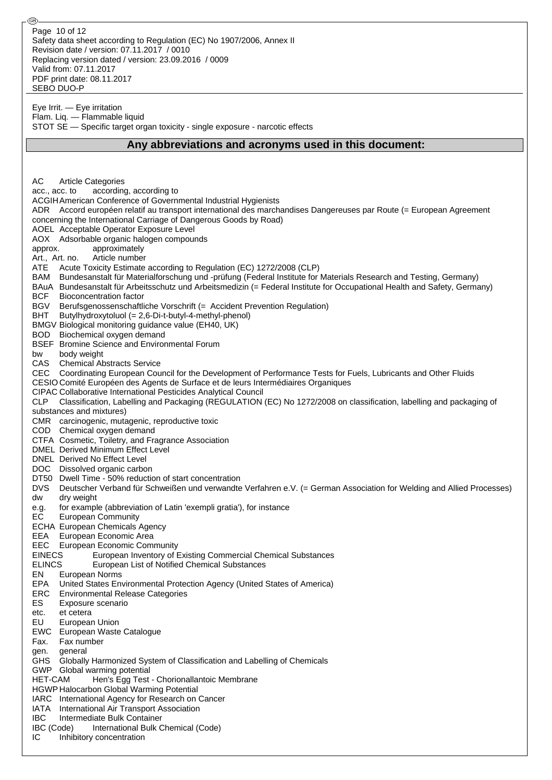Safety data sheet according to Regulation (EC) No 1907/2006, Annex II Revision date / version: 07.11.2017 / 0010 Replacing version dated / version: 23.09.2016 / 0009 Valid from: 07.11.2017 PDF print date: 08.11.2017 SEBO DUO-P Page 10 of 12

Eye Irrit. — Eye irritation Flam. Liq. — Flammable liquid STOT SE — Specific target organ toxicity - single exposure - narcotic effects

#### **Any abbreviations and acronyms used in this document:**

AC Article Categories acc., acc. to according, according to ACGIHAmerican Conference of Governmental Industrial Hygienists ADR Accord européen relatif au transport international des marchandises Dangereuses par Route (= European Agreement concerning the International Carriage of Dangerous Goods by Road) AOEL Acceptable Operator Exposure Level AOX Adsorbable organic halogen compounds approx. approximately Art., Art. no. Article number ATE Acute Toxicity Estimate according to Regulation (EC) 1272/2008 (CLP) BAM Bundesanstalt für Materialforschung und -prüfung (Federal Institute for Materials Research and Testing, Germany) BAuA Bundesanstalt für Arbeitsschutz und Arbeitsmedizin (= Federal Institute for Occupational Health and Safety, Germany) BCF Bioconcentration factor BGV Berufsgenossenschaftliche Vorschrift (= Accident Prevention Regulation) BHT Butylhydroxytoluol (= 2,6-Di-t-butyl-4-methyl-phenol) BMGV Biological monitoring guidance value (EH40, UK) BOD Biochemical oxygen demand BSEF Bromine Science and Environmental Forum bw body weight CAS Chemical Abstracts Service CEC Coordinating European Council for the Development of Performance Tests for Fuels, Lubricants and Other Fluids CESIO Comité Européen des Agents de Surface et de leurs Intermédiaires Organiques CIPAC Collaborative International Pesticides Analytical Council CLP Classification, Labelling and Packaging (REGULATION (EC) No 1272/2008 on classification, labelling and packaging of substances and mixtures) CMR carcinogenic, mutagenic, reproductive toxic COD Chemical oxygen demand CTFA Cosmetic, Toiletry, and Fragrance Association DMEL Derived Minimum Effect Level DNEL Derived No Effect Level DOC Dissolved organic carbon DT50 Dwell Time - 50% reduction of start concentration DVS Deutscher Verband für Schweißen und verwandte Verfahren e.V. (= German Association for Welding and Allied Processes) dw dry weight e.g. for example (abbreviation of Latin 'exempli gratia'), for instance EC European Community ECHA European Chemicals Agency EEA European Economic Area EEC European Economic Community EINECS European Inventory of Existing Commercial Chemical Substances ELINCS European List of Notified Chemical Substances EN European Norms EPA United States Environmental Protection Agency (United States of America) ERC Environmental Release Categories ES Exposure scenario etc. et cetera EU European Union EWC European Waste Catalogue Fax. Fax number gen. general GHS Globally Harmonized System of Classification and Labelling of Chemicals GWP Global warming potential HET-CAM Hen's Egg Test - Chorionallantoic Membrane HGWP Halocarbon Global Warming Potential IARC International Agency for Research on Cancer IATA International Air Transport Association IBC Intermediate Bulk Container IBC (Code) International Bulk Chemical (Code) IC Inhibitory concentration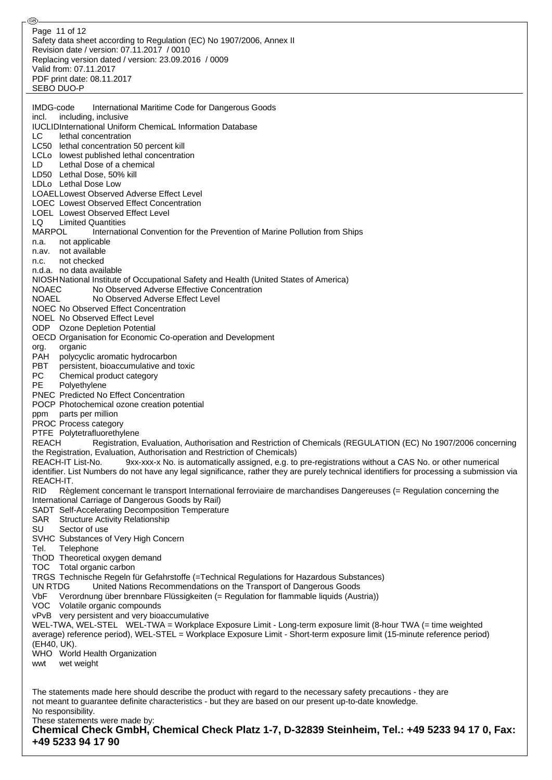Safety data sheet according to Regulation (EC) No 1907/2006, Annex II Revision date / version: 07.11.2017 / 0010 Replacing version dated / version: 23.09.2016 / 0009 Valid from: 07.11.2017 PDF print date: 08.11.2017 SEBO DUO-P IMDG-code International Maritime Code for Dangerous Goods incl. including, inclusive IUCLIDInternational Uniform ChemicaL Information Database LC lethal concentration LC50 lethal concentration 50 percent kill LCLo lowest published lethal concentration LD Lethal Dose of a chemical LD50 Lethal Dose, 50% kill LDLo Lethal Dose Low LOAELLowest Observed Adverse Effect Level LOEC Lowest Observed Effect Concentration LOEL Lowest Observed Effect Level LQ Limited Quantities MARPOL International Convention for the Prevention of Marine Pollution from Ships n.a. not applicable n.av. not available n.c. not checked n.d.a. no data available NIOSHNational Institute of Occupational Safety and Health (United States of America) NOAEC No Observed Adverse Effective Concentration NOAEL No Observed Adverse Effect Level NOEC No Observed Effect Concentration NOEL No Observed Effect Level ODP Ozone Depletion Potential OECD Organisation for Economic Co-operation and Development org. organic PAH polycyclic aromatic hydrocarbon PBT persistent, bioaccumulative and toxic<br>PC Chemical product category Chemical product category PE Polyethylene PNEC Predicted No Effect Concentration POCP Photochemical ozone creation potential ppm parts per million PROC Process category PTFE Polytetrafluorethylene REACH Registration, Evaluation, Authorisation and Restriction of Chemicals (REGULATION (EC) No 1907/2006 concerning the Registration, Evaluation, Authorisation and Restriction of Chemicals) REACH-IT List-No. 9xx-xxx-x No. is automatically assigned, e.g. to pre-registrations without a CAS No. or other numerical identifier. List Numbers do not have any legal significance, rather they are purely technical identifiers for processing a submission via REACH-IT. RID Règlement concernant le transport International ferroviaire de marchandises Dangereuses (= Regulation concerning the International Carriage of Dangerous Goods by Rail) SADT Self-Accelerating Decomposition Temperature SAR Structure Activity Relationship SU Sector of use SVHC Substances of Very High Concern Tel. Telephone ThOD Theoretical oxygen demand TOC Total organic carbon TRGS Technische Regeln für Gefahrstoffe (=Technical Regulations for Hazardous Substances) UN RTDG United Nations Recommendations on the Transport of Dangerous Goods VbF Verordnung über brennbare Flüssigkeiten (= Regulation for flammable liquids (Austria)) VOC Volatile organic compounds vPvB very persistent and very bioaccumulative WEL-TWA, WEL-STEL WEL-TWA = Workplace Exposure Limit - Long-term exposure limit (8-hour TWA (= time weighted average) reference period), WEL-STEL = Workplace Exposure Limit - Short-term exposure limit (15-minute reference period) (EH40, UK). WHO World Health Organization wwt wet weight The statements made here should describe the product with regard to the necessary safety precautions - they are not meant to guarantee definite characteristics - but they are based on our present up-to-date knowledge. No responsibility. These statements were made by: **Chemical Check GmbH, Chemical Check Platz 1-7, D-32839 Steinheim, Tel.: +49 5233 94 17 0, Fax: +49 5233 94 17 90** Page 11 of 12